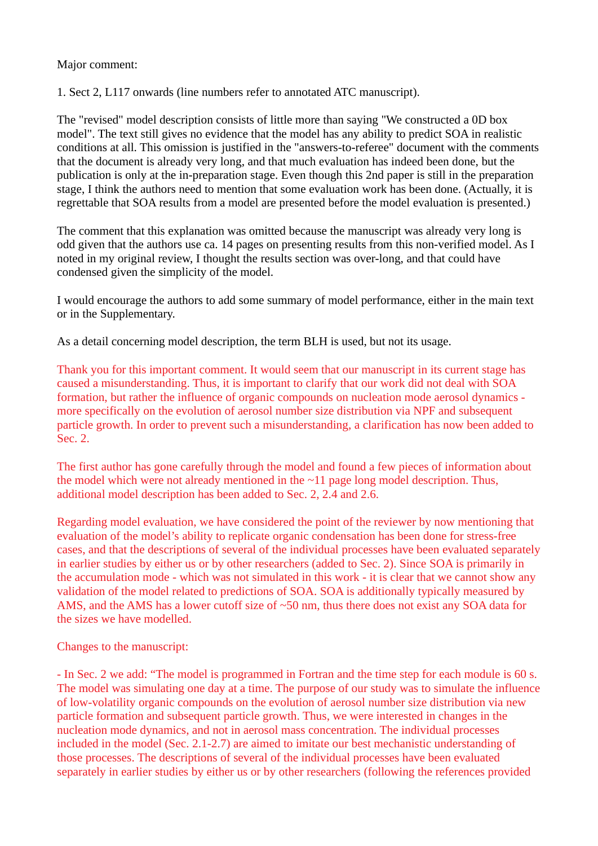## Major comment:

1. Sect 2, L117 onwards (line numbers refer to annotated ATC manuscript).

The "revised" model description consists of little more than saying "We constructed a 0D box model". The text still gives no evidence that the model has any ability to predict SOA in realistic conditions at all. This omission is justified in the "answers-to-referee" document with the comments that the document is already very long, and that much evaluation has indeed been done, but the publication is only at the in-preparation stage. Even though this 2nd paper is still in the preparation stage, I think the authors need to mention that some evaluation work has been done. (Actually, it is regrettable that SOA results from a model are presented before the model evaluation is presented.)

The comment that this explanation was omitted because the manuscript was already very long is odd given that the authors use ca. 14 pages on presenting results from this non-verified model. As I noted in my original review, I thought the results section was over-long, and that could have condensed given the simplicity of the model.

I would encourage the authors to add some summary of model performance, either in the main text or in the Supplementary.

As a detail concerning model description, the term BLH is used, but not its usage.

Thank you for this important comment. It would seem that our manuscript in its current stage has caused a misunderstanding. Thus, it is important to clarify that our work did not deal with SOA formation, but rather the influence of organic compounds on nucleation mode aerosol dynamics more specifically on the evolution of aerosol number size distribution via NPF and subsequent particle growth. In order to prevent such a misunderstanding, a clarification has now been added to Sec. 2.

The first author has gone carefully through the model and found a few pieces of information about the model which were not already mentioned in the  $\sim$ 11 page long model description. Thus, additional model description has been added to Sec. 2, 2.4 and 2.6.

Regarding model evaluation, we have considered the point of the reviewer by now mentioning that evaluation of the model's ability to replicate organic condensation has been done for stress-free cases, and that the descriptions of several of the individual processes have been evaluated separately in earlier studies by either us or by other researchers (added to Sec. 2). Since SOA is primarily in the accumulation mode - which was not simulated in this work - it is clear that we cannot show any validation of the model related to predictions of SOA. SOA is additionally typically measured by AMS, and the AMS has a lower cutoff size of ~50 nm, thus there does not exist any SOA data for the sizes we have modelled.

Changes to the manuscript:

- In Sec. 2 we add: "The model is programmed in Fortran and the time step for each module is 60 s. The model was simulating one day at a time. The purpose of our study was to simulate the influence of low-volatility organic compounds on the evolution of aerosol number size distribution via new particle formation and subsequent particle growth. Thus, we were interested in changes in the nucleation mode dynamics, and not in aerosol mass concentration. The individual processes included in the model (Sec. 2.1-2.7) are aimed to imitate our best mechanistic understanding of those processes. The descriptions of several of the individual processes have been evaluated separately in earlier studies by either us or by other researchers (following the references provided